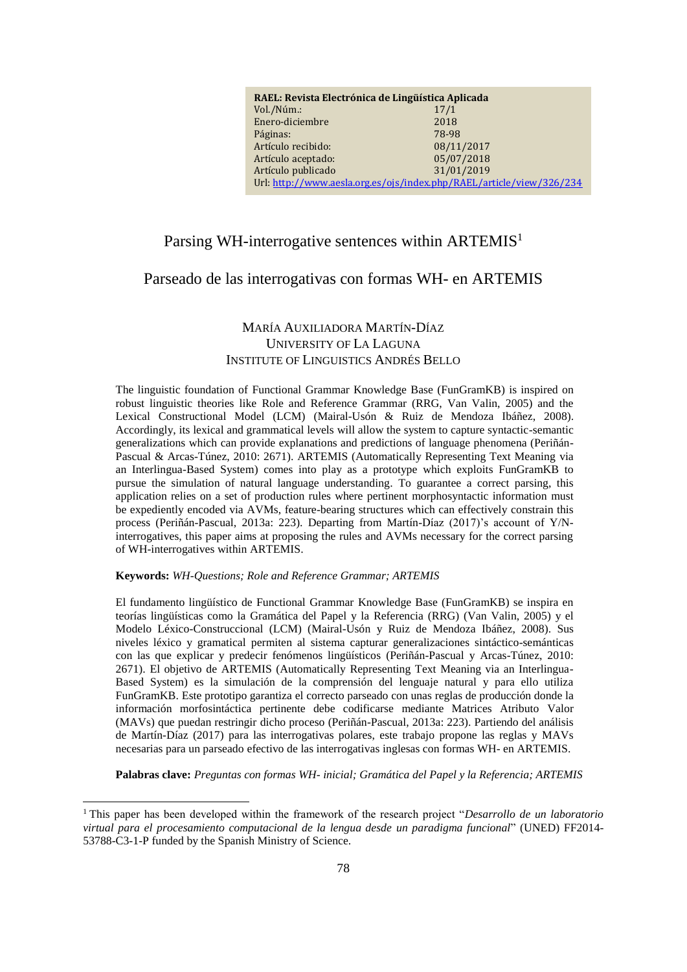| RAEL: Revista Electrónica de Lingüística Aplicada                    |            |
|----------------------------------------------------------------------|------------|
| Vol./Núm.:                                                           | 17/1       |
| Enero-diciembre                                                      | 2018       |
| Páginas:                                                             | 78-98      |
| Artículo recibido:                                                   | 08/11/2017 |
| Artículo aceptado:                                                   | 05/07/2018 |
| Artículo publicado                                                   | 31/01/2019 |
| Url: http://www.aesla.org.es/ojs/index.php/RAEL/article/view/326/234 |            |

# Parsing WH-interrogative sentences within ARTEMIS<sup>1</sup>

### Parseado de las interrogativas con formas WH- en ARTEMIS

## MARÍA AUXILIADORA MARTÍN-DÍAZ UNIVERSITY OF LA LAGUNA INSTITUTE OF LINGUISTICS ANDRÉS BELLO

The linguistic foundation of Functional Grammar Knowledge Base (FunGramKB) is inspired on robust linguistic theories like Role and Reference Grammar (RRG, Van Valin, 2005) and the Lexical Constructional Model (LCM) (Mairal-Usón & Ruiz de Mendoza Ibáñez, 2008). Accordingly, its lexical and grammatical levels will allow the system to capture syntactic-semantic generalizations which can provide explanations and predictions of language phenomena (Periñán-Pascual & Arcas-Túnez, 2010: 2671). ARTEMIS (Automatically Representing Text Meaning via an Interlingua-Based System) comes into play as a prototype which exploits FunGramKB to pursue the simulation of natural language understanding. To guarantee a correct parsing, this application relies on a set of production rules where pertinent morphosyntactic information must be expediently encoded via AVMs, feature-bearing structures which can effectively constrain this process (Periñán-Pascual, 2013a: 223). Departing from Martín-Díaz (2017)'s account of Y/Ninterrogatives, this paper aims at proposing the rules and AVMs necessary for the correct parsing of WH-interrogatives within ARTEMIS.

#### **Keywords:** *WH-Questions; Role and Reference Grammar; ARTEMIS*

<u>.</u>

El fundamento lingüístico de Functional Grammar Knowledge Base (FunGramKB) se inspira en teorías lingüísticas como la Gramática del Papel y la Referencia (RRG) (Van Valin, 2005) y el Modelo Léxico-Construccional (LCM) (Mairal-Usón y Ruiz de Mendoza Ibáñez, 2008). Sus niveles léxico y gramatical permiten al sistema capturar generalizaciones sintáctico-semánticas con las que explicar y predecir fenómenos lingüísticos (Periñán-Pascual y Arcas-Túnez, 2010: 2671). El objetivo de ARTEMIS (Automatically Representing Text Meaning via an Interlingua-Based System) es la simulación de la comprensión del lenguaje natural y para ello utiliza FunGramKB. Este prototipo garantiza el correcto parseado con unas reglas de producción donde la información morfosintáctica pertinente debe codificarse mediante Matrices Atributo Valor (MAVs) que puedan restringir dicho proceso (Periñán-Pascual, 2013a: 223). Partiendo del análisis de Martín-Díaz (2017) para las interrogativas polares, este trabajo propone las reglas y MAVs necesarias para un parseado efectivo de las interrogativas inglesas con formas WH- en ARTEMIS.

**Palabras clave:** *Preguntas con formas WH- inicial; Gramática del Papel y la Referencia; ARTEMIS*

<sup>1</sup>This paper has been developed within the framework of the research project "*Desarrollo de un laboratorio virtual para el procesamiento computacional de la lengua desde un paradigma funcional*" (UNED) FF2014- 53788-C3-1-P funded by the Spanish Ministry of Science.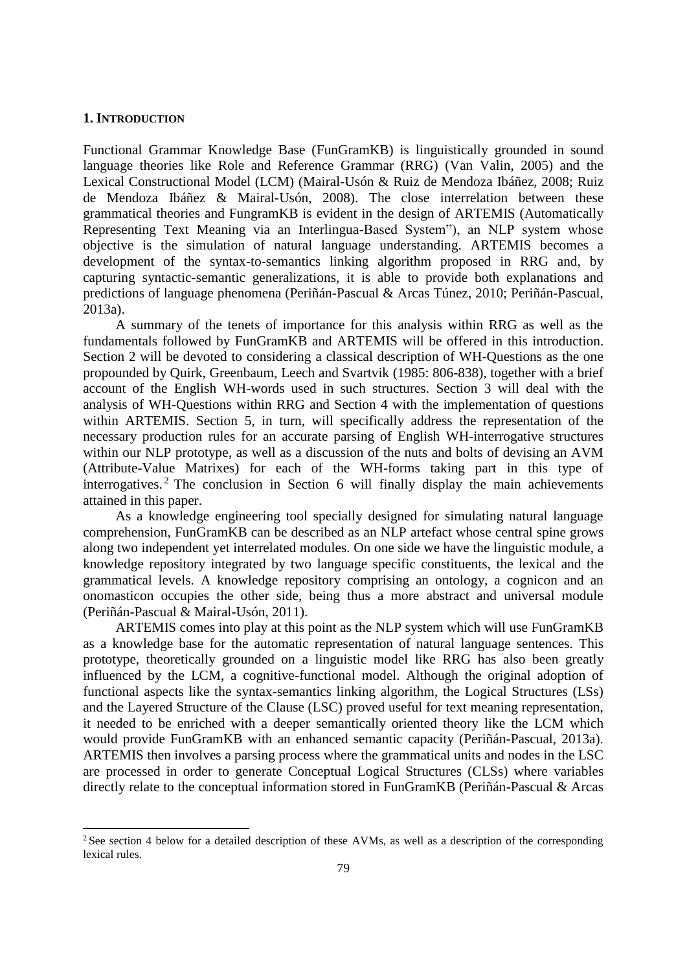### **1. INTRODUCTION**

-

Functional Grammar Knowledge Base (FunGramKB) is linguistically grounded in sound language theories like Role and Reference Grammar (RRG) (Van Valin, 2005) and the Lexical Constructional Model (LCM) (Mairal-Usón & Ruiz de Mendoza Ibáñez, 2008; Ruiz de Mendoza Ibáñez & Mairal-Usón, 2008). The close interrelation between these grammatical theories and FungramKB is evident in the design of ARTEMIS (Automatically Representing Text Meaning via an Interlingua-Based System"), an NLP system whose objective is the simulation of natural language understanding. ARTEMIS becomes a development of the syntax-to-semantics linking algorithm proposed in RRG and, by capturing syntactic-semantic generalizations, it is able to provide both explanations and predictions of language phenomena (Periñán-Pascual & Arcas Túnez, 2010; Periñán-Pascual, 2013a).

A summary of the tenets of importance for this analysis within RRG as well as the fundamentals followed by FunGramKB and ARTEMIS will be offered in this introduction. Section 2 will be devoted to considering a classical description of WH-Questions as the one propounded by Quirk, Greenbaum, Leech and Svartvik (1985: 806-838), together with a brief account of the English WH-words used in such structures. Section 3 will deal with the analysis of WH-Questions within RRG and Section 4 with the implementation of questions within ARTEMIS. Section 5, in turn, will specifically address the representation of the necessary production rules for an accurate parsing of English WH-interrogative structures within our NLP prototype, as well as a discussion of the nuts and bolts of devising an AVM (Attribute-Value Matrixes) for each of the WH-forms taking part in this type of interrogatives. <sup>2</sup> The conclusion in Section 6 will finally display the main achievements attained in this paper.

As a knowledge engineering tool specially designed for simulating natural language comprehension, FunGramKB can be described as an NLP artefact whose central spine grows along two independent yet interrelated modules. On one side we have the linguistic module, a knowledge repository integrated by two language specific constituents, the lexical and the grammatical levels. A knowledge repository comprising an ontology, a cognicon and an onomasticon occupies the other side, being thus a more abstract and universal module (Periñán-Pascual & Mairal-Usón, 2011).

ARTEMIS comes into play at this point as the NLP system which will use FunGramKB as a knowledge base for the automatic representation of natural language sentences. This prototype, theoretically grounded on a linguistic model like RRG has also been greatly influenced by the LCM, a cognitive-functional model. Although the original adoption of functional aspects like the syntax-semantics linking algorithm, the Logical Structures (LSs) and the Layered Structure of the Clause (LSC) proved useful for text meaning representation, it needed to be enriched with a deeper semantically oriented theory like the LCM which would provide FunGramKB with an enhanced semantic capacity (Periñán-Pascual, 2013a). ARTEMIS then involves a parsing process where the grammatical units and nodes in the LSC are processed in order to generate Conceptual Logical Structures (CLSs) where variables directly relate to the conceptual information stored in FunGramKB (Periñán-Pascual & Arcas

<sup>&</sup>lt;sup>2</sup> See section 4 below for a detailed description of these AVMs, as well as a description of the corresponding lexical rules.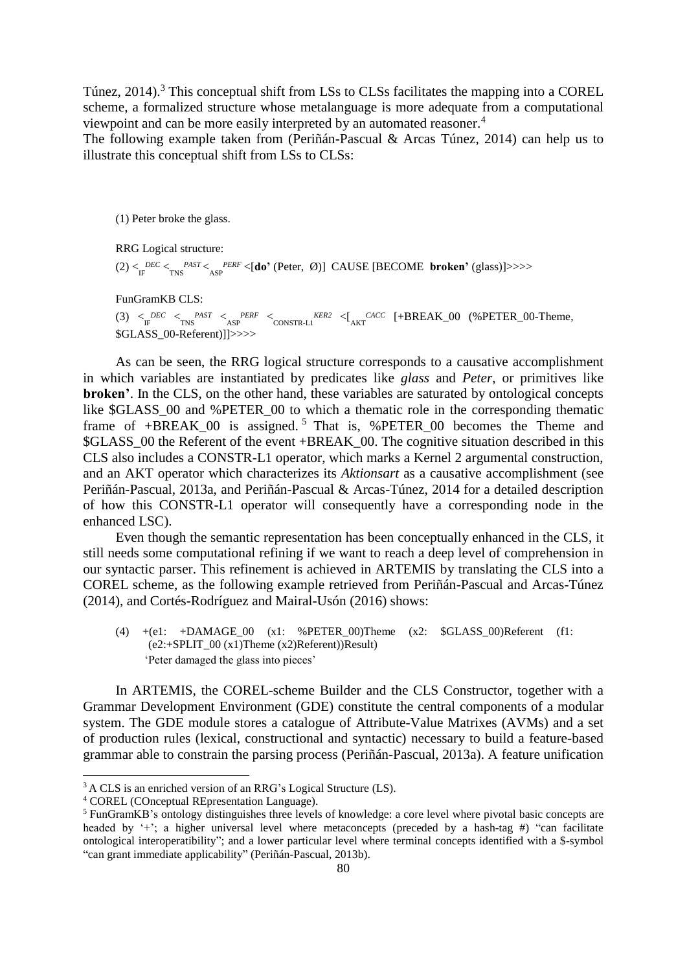Túnez, 2014). <sup>3</sup> This conceptual shift from LSs to CLSs facilitates the mapping into a COREL scheme, a formalized structure whose metalanguage is more adequate from a computational viewpoint and can be more easily interpreted by an automated reasoner. 4

The following example taken from (Periñán-Pascual & Arcas Túnez, 2014) can help us to illustrate this conceptual shift from LSs to CLSs:

(1) Peter broke the glass.

RRG Logical structure: (2)  $\lt_{\text{IF}}^{\text{DEC}} \lt_{\text{INS}}^{\text{PAST}} \lt_{\text{ASP}}^{\text{PERT}} \lt \text{[do'}$  (Peter, Ø)] CAUSE [BECOME **broken'** (glass)]>>>>

FunGramKB CLS:

 $(3)$   $\lt_{\text{IF}}^{\text{DEC}}$   $\lt_{\text{INS}}^{\text{PAST}}$   $\lt_{\text{ASP}}^{\text{PERF}}$   $\lt_{\text{CONSTR-L1}}^{\text{KER2}}$   $\lt_{\text{I}}^{\text{CACC}}$  [+BREAK\_00 (%PETER\_00-Theme, \$GLASS\_00-Referent)]]>>>>

As can be seen, the RRG logical structure corresponds to a causative accomplishment in which variables are instantiated by predicates like *glass* and *Peter*, or primitives like **broken'**. In the CLS, on the other hand, these variables are saturated by ontological concepts like \$GLASS\_00 and %PETER\_00 to which a thematic role in the corresponding thematic frame of +BREAK\_00 is assigned.<sup>5</sup> That is, %PETER\_00 becomes the Theme and \$GLASS\_00 the Referent of the event +BREAK\_00. The cognitive situation described in this CLS also includes a CONSTR-L1 operator, which marks a Kernel 2 argumental construction, and an AKT operator which characterizes its *Aktionsart* as a causative accomplishment (see Periñán-Pascual, 2013a, and Periñán-Pascual & Arcas-Túnez, 2014 for a detailed description of how this CONSTR-L1 operator will consequently have a corresponding node in the enhanced LSC).

Even though the semantic representation has been conceptually enhanced in the CLS, it still needs some computational refining if we want to reach a deep level of comprehension in our syntactic parser. This refinement is achieved in ARTEMIS by translating the CLS into a COREL scheme, as the following example retrieved from Periñán-Pascual and Arcas-Túnez (2014), and Cortés-Rodríguez and Mairal-Usón (2016) shows:

(4)  $+(e1: +DAMAGE_00)$  (x1: %PETER 00)Theme (x2: \$GLASS 00)Referent (f1: (e2:+SPLIT\_00 (x1)Theme (x2)Referent))Result) 'Peter damaged the glass into pieces'

In ARTEMIS, the COREL-scheme Builder and the CLS Constructor, together with a Grammar Development Environment (GDE) constitute the central components of a modular system. The GDE module stores a catalogue of Attribute-Value Matrixes (AVMs) and a set of production rules (lexical, constructional and syntactic) necessary to build a feature-based grammar able to constrain the parsing process (Periñán-Pascual, 2013a). A feature unification

<sup>3</sup> A CLS is an enriched version of an RRG's Logical Structure (LS).

<sup>4</sup> COREL (COnceptual REpresentation Language).

<sup>5</sup> FunGramKB's ontology distinguishes three levels of knowledge: a core level where pivotal basic concepts are headed by '+'; a higher universal level where metaconcepts (preceded by a hash-tag #) "can facilitate ontological interoperatibility"; and a lower particular level where terminal concepts identified with a \$-symbol "can grant immediate applicability" (Periñán-Pascual, 2013b).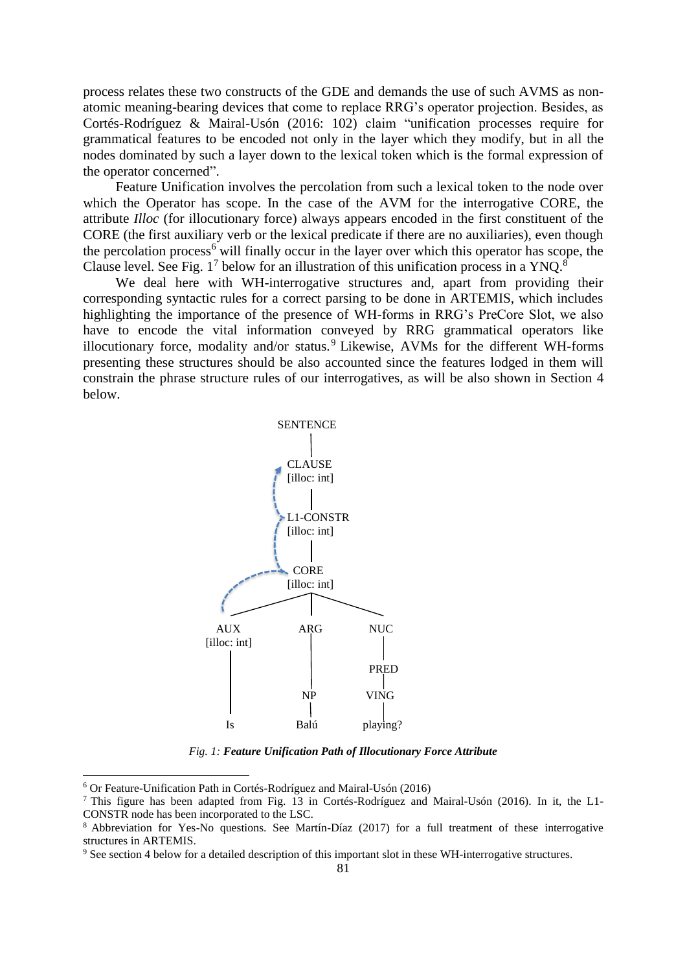process relates these two constructs of the GDE and demands the use of such AVMS as nonatomic meaning-bearing devices that come to replace RRG's operator projection. Besides, as Cortés-Rodríguez & Mairal-Usón (2016: 102) claim "unification processes require for grammatical features to be encoded not only in the layer which they modify, but in all the nodes dominated by such a layer down to the lexical token which is the formal expression of the operator concerned".

Feature Unification involves the percolation from such a lexical token to the node over which the Operator has scope. In the case of the AVM for the interrogative CORE, the attribute *Illoc* (for illocutionary force) always appears encoded in the first constituent of the CORE (the first auxiliary verb or the lexical predicate if there are no auxiliaries), even though the percolation process<sup>6</sup> will finally occur in the layer over which this operator has scope, the Clause level. See Fig.  $1^7$  below for an illustration of this unification process in a YNQ.<sup>8</sup>

We deal here with WH-interrogative structures and, apart from providing their corresponding syntactic rules for a correct parsing to be done in ARTEMIS, which includes highlighting the importance of the presence of WH-forms in RRG's PreCore Slot, we also have to encode the vital information conveyed by RRG grammatical operators like illocutionary force, modality and/or status.<sup>9</sup> Likewise, AVMs for the different WH-forms presenting these structures should be also accounted since the features lodged in them will constrain the phrase structure rules of our interrogatives, as will be also shown in Section 4 below.



*Fig. 1: Feature Unification Path of Illocutionary Force Attribute*

<sup>6</sup> Or Feature-Unification Path in Cortés-Rodríguez and Mairal-Usón (2016)

<sup>7</sup> This figure has been adapted from Fig. 13 in Cortés-Rodríguez and Mairal-Usón (2016). In it, the L1- CONSTR node has been incorporated to the LSC.

<sup>8</sup> Abbreviation for Yes-No questions. See Martín-Díaz (2017) for a full treatment of these interrogative structures in ARTEMIS.

<sup>&</sup>lt;sup>9</sup> See section 4 below for a detailed description of this important slot in these WH-interrogative structures.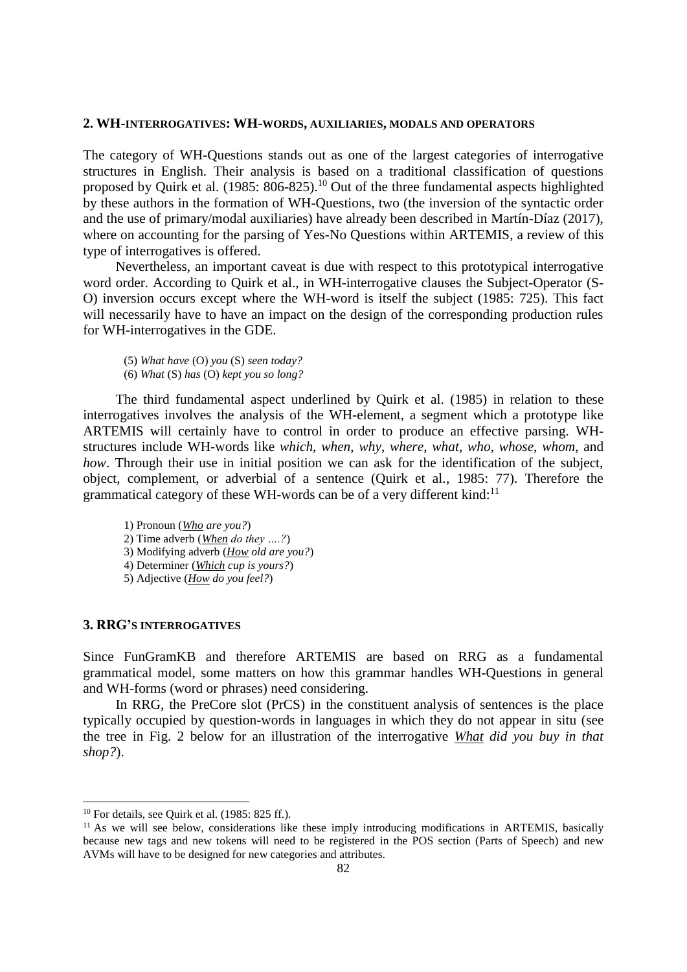#### **2. WH-INTERROGATIVES: WH-WORDS, AUXILIARIES, MODALS AND OPERATORS**

The category of WH-Questions stands out as one of the largest categories of interrogative structures in English. Their analysis is based on a traditional classification of questions proposed by Quirk et al. (1985: 806-825).<sup>10</sup> Out of the three fundamental aspects highlighted by these authors in the formation of WH-Questions, two (the inversion of the syntactic order and the use of primary/modal auxiliaries) have already been described in Martín-Díaz (2017), where on accounting for the parsing of Yes-No Questions within ARTEMIS, a review of this type of interrogatives is offered.

Nevertheless, an important caveat is due with respect to this prototypical interrogative word order. According to Quirk et al., in WH-interrogative clauses the Subject-Operator (S-O) inversion occurs except where the WH-word is itself the subject (1985: 725). This fact will necessarily have to have an impact on the design of the corresponding production rules for WH-interrogatives in the GDE.

- (5) *What have* (O) *you* (S) *seen today?*
- (6) *What* (S) *has* (O) *kept you so long?*

The third fundamental aspect underlined by Quirk et al. (1985) in relation to these interrogatives involves the analysis of the WH-element, a segment which a prototype like ARTEMIS will certainly have to control in order to produce an effective parsing. WHstructures include WH-words like *which*, *when*, *why*, *where*, *what*, *who*, *whose*, *whom*, and *how*. Through their use in initial position we can ask for the identification of the subject, object, complement, or adverbial of a sentence (Quirk et al., 1985: 77). Therefore the grammatical category of these WH-words can be of a very different kind:<sup>11</sup>

1) Pronoun (*Who are you?*) 2) Time adverb (*When do they ….?*) 3) Modifying adverb (*How old are you?*) 4) Determiner (*Which cup is yours?*) 5) Adjective (*How do you feel?*)

### **3. RRG'S INTERROGATIVES**

Since FunGramKB and therefore ARTEMIS are based on RRG as a fundamental grammatical model, some matters on how this grammar handles WH-Questions in general and WH-forms (word or phrases) need considering.

In RRG, the PreCore slot (PrCS) in the constituent analysis of sentences is the place typically occupied by question-words in languages in which they do not appear in situ (see the tree in Fig. 2 below for an illustration of the interrogative *What did you buy in that shop?*).

 $10$  For details, see Quirk et al. (1985: 825 ff.).

 $11$  As we will see below, considerations like these imply introducing modifications in ARTEMIS, basically because new tags and new tokens will need to be registered in the POS section (Parts of Speech) and new AVMs will have to be designed for new categories and attributes.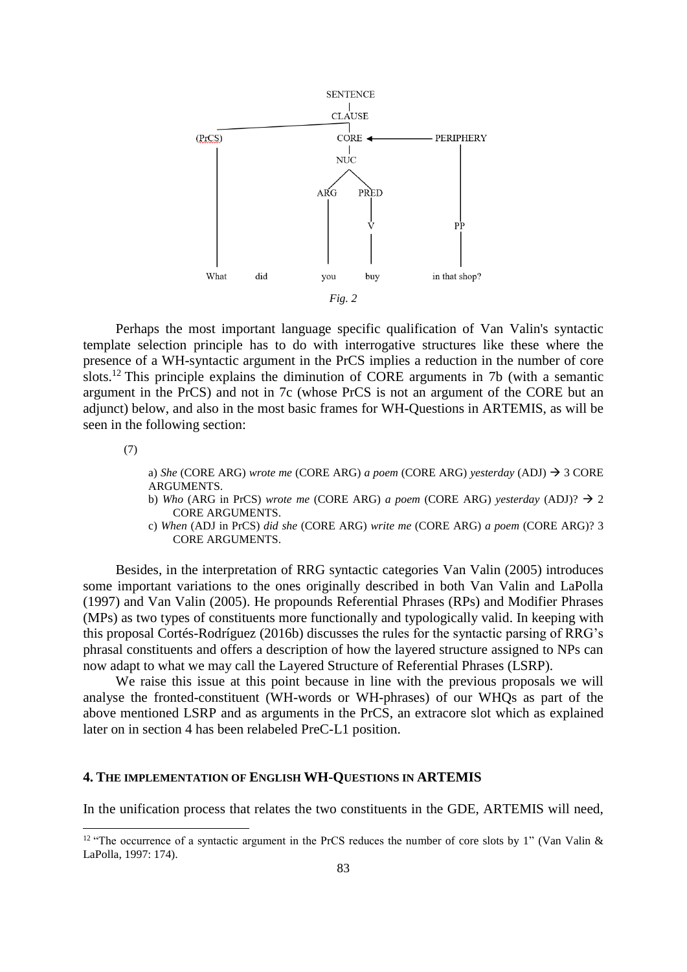

Perhaps the most important language specific qualification of Van Valin's syntactic template selection principle has to do with interrogative structures like these where the presence of a WH-syntactic argument in the PrCS implies a reduction in the number of core slots. <sup>12</sup> This principle explains the diminution of CORE arguments in 7b (with a semantic argument in the PrCS) and not in 7c (whose PrCS is not an argument of the CORE but an adjunct) below, and also in the most basic frames for WH-Questions in ARTEMIS, as will be seen in the following section:

(7)

-

a) *She* (CORE ARG) *wrote me* (CORE ARG) *a poem* (CORE ARG) *yesterday* (ADJ) → 3 CORE ARGUMENTS.

- b) *Who* (ARG in PrCS) *wrote me* (CORE ARG) *a poem* (CORE ARG) *yesterday* (ADJ)? → 2 CORE ARGUMENTS.
- c) *When* (ADJ in PrCS) *did she* (CORE ARG) *write me* (CORE ARG) *a poem* (CORE ARG)? 3 CORE ARGUMENTS.

Besides, in the interpretation of RRG syntactic categories Van Valin (2005) introduces some important variations to the ones originally described in both Van Valin and LaPolla (1997) and Van Valin (2005). He propounds Referential Phrases (RPs) and Modifier Phrases (MPs) as two types of constituents more functionally and typologically valid. In keeping with this proposal Cortés-Rodríguez (2016b) discusses the rules for the syntactic parsing of RRG's phrasal constituents and offers a description of how the layered structure assigned to NPs can now adapt to what we may call the Layered Structure of Referential Phrases (LSRP).

We raise this issue at this point because in line with the previous proposals we will analyse the fronted-constituent (WH-words or WH-phrases) of our WHQs as part of the above mentioned LSRP and as arguments in the PrCS, an extracore slot which as explained later on in section 4 has been relabeled PreC-L1 position.

#### **4. THE IMPLEMENTATION OF ENGLISH WH-QUESTIONS IN ARTEMIS**

In the unification process that relates the two constituents in the GDE, ARTEMIS will need,

<sup>&</sup>lt;sup>12</sup> "The occurrence of a syntactic argument in the PrCS reduces the number of core slots by 1" (Van Valin  $\&$ LaPolla, 1997: 174).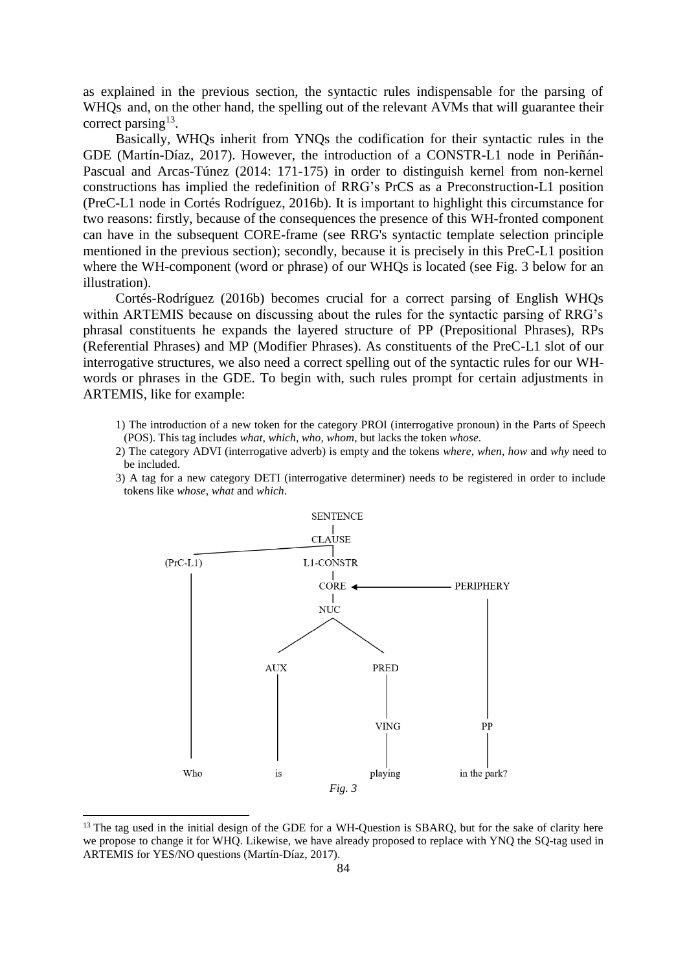as explained in the previous section, the syntactic rules indispensable for the parsing of WHQs and, on the other hand, the spelling out of the relevant AVMs that will guarantee their correct parsing<sup>13</sup>.

Basically, WHQs inherit from YNQs the codification for their syntactic rules in the GDE (Martín-Díaz, 2017). However, the introduction of a CONSTR-L1 node in Periñán-Pascual and Arcas-Túnez (2014: 171-175) in order to distinguish kernel from non-kernel constructions has implied the redefinition of RRG's PrCS as a Preconstruction-L1 position (PreC-L1 node in Cortés Rodríguez, 2016b). It is important to highlight this circumstance for two reasons: firstly, because of the consequences the presence of this WH-fronted component can have in the subsequent CORE-frame (see RRG's syntactic template selection principle mentioned in the previous section); secondly, because it is precisely in this PreC-L1 position where the WH-component (word or phrase) of our WHQs is located (see Fig. 3 below for an illustration).

Cortés-Rodríguez (2016b) becomes crucial for a correct parsing of English WHQs within ARTEMIS because on discussing about the rules for the syntactic parsing of RRG's phrasal constituents he expands the layered structure of PP (Prepositional Phrases), RPs (Referential Phrases) and MP (Modifier Phrases). As constituents of the PreC-L1 slot of our interrogative structures, we also need a correct spelling out of the syntactic rules for our WHwords or phrases in the GDE. To begin with, such rules prompt for certain adjustments in ARTEMIS, like for example:

- 1) The introduction of a new token for the category PROI (interrogative pronoun) in the Parts of Speech (POS). This tag includes *what, which, who, whom*, but lacks the token *whose*.
- 2) The category ADVI (interrogative adverb) is empty and the tokens *where, when, how* and *why* need to be included.
- 3) A tag for a new category DETI (interrogative determiner) needs to be registered in order to include tokens like *whose, what* and *which*.



<sup>&</sup>lt;sup>13</sup> The tag used in the initial design of the GDE for a WH-Question is SBARQ, but for the sake of clarity here we propose to change it for WHQ. Likewise, we have already proposed to replace with YNQ the SQ-tag used in ARTEMIS for YES/NO questions (Martín-Díaz, 2017).

-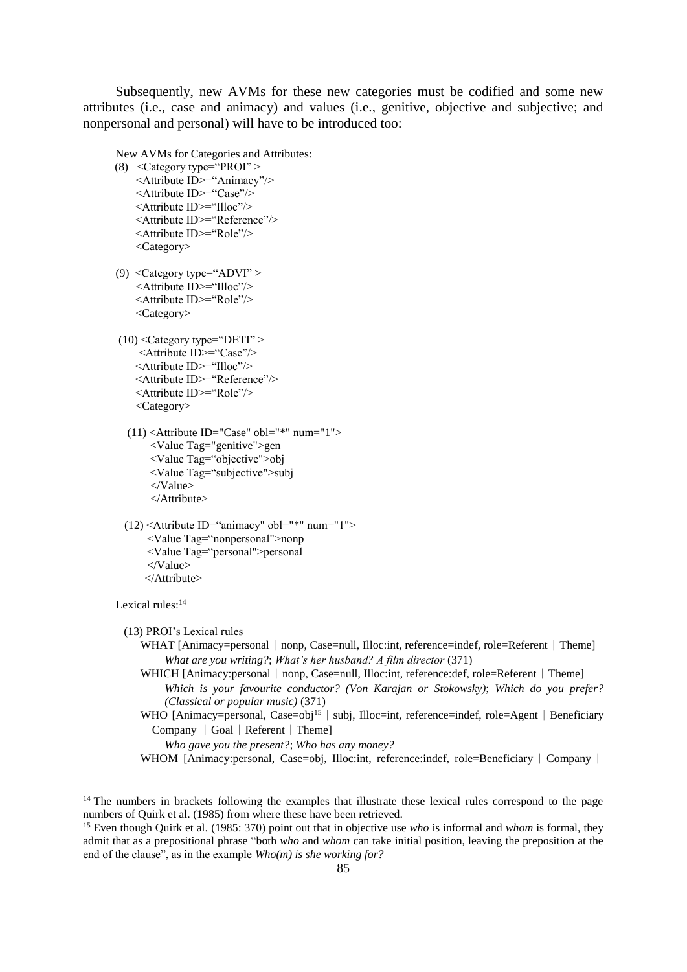Subsequently, new AVMs for these new categories must be codified and some new attributes (i.e., case and animacy) and values (i.e., genitive, objective and subjective; and nonpersonal and personal) will have to be introduced too:

New AVMs for Categories and Attributes:

- (8) <Category type="PROI" > <Attribute ID>="Animacy"/> <Attribute ID>="Case"/> <Attribute ID>="Illoc"/> <Attribute ID>="Reference"/> <Attribute ID>="Role"/> <Category>
- (9) <Category type="ADVI" > <Attribute ID>="Illoc"/> <Attribute ID>="Role"/> <Category>
- $(10)$  < Category type="DETI" > <Attribute ID>="Case"/> <Attribute ID>="Illoc"/> <Attribute ID>="Reference"/> <Attribute ID>="Role"/> <Category>
	- $(11)$  <Attribute ID="Case" obl="\*" num="1"> <Value Tag="genitive">gen <Value Tag="objective">obj <Value Tag="subjective">subj </Value> </Attribute>
- (12) <Attribute ID="animacy" obl="\*" num="1"> <Value Tag="nonpersonal">nonp <Value Tag="personal">personal </Value> </Attribute>

Lexical rules:<sup>14</sup>

<u>.</u>

(13) PROI's Lexical rules

- WHAT [Animacy=personal | nonp, Case=null, Illoc:int, reference=indef, role=Referent | Theme] *What are you writing?*; *What's her husband? A film director* (371)
- WHICH [Animacy:personal | nonp, Case=null, Illoc:int, reference:def, role=Referent | Theme] *Which is your favourite conductor? (Von Karajan or Stokowsky)*; *Which do you prefer? (Classical or popular music)* (371)
- WHO [Animacy=personal, Case=obj<sup>15</sup> | subj, Illoc=int, reference=indef, role=Agent | Beneficiary ︱Company ︱Goal︱Referent︱Theme]

*Who gave you the present?*; *Who has any money?* 

WHOM [Animacy:personal, Case=obj, Illoc:int, reference:indef, role=Beneficiary | Company |

<sup>&</sup>lt;sup>14</sup> The numbers in brackets following the examples that illustrate these lexical rules correspond to the page numbers of Quirk et al. (1985) from where these have been retrieved.

<sup>15</sup> Even though Quirk et al. (1985: 370) point out that in objective use *who* is informal and *whom* is formal, they admit that as a prepositional phrase "both *who* and *whom* can take initial position, leaving the preposition at the end of the clause", as in the example *Who(m) is she working for?*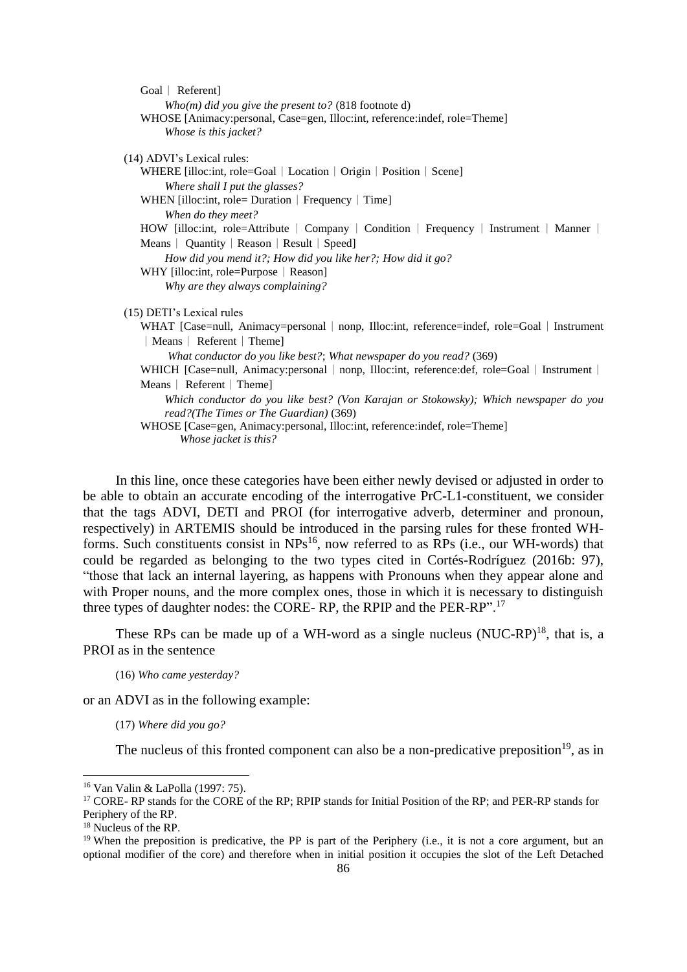| Goal   Referent]                                                                               |
|------------------------------------------------------------------------------------------------|
| Who(m) did you give the present to? (818 footnote d)                                           |
| WHOSE [Animacy: personal, Case=gen, Illoc: int, reference: indef, role=Theme]                  |
| Whose is this jacket?                                                                          |
|                                                                                                |
| (14) ADVI's Lexical rules:                                                                     |
| WHERE [illoc:int, role=Goal   Location   Origin   Position   Scene]                            |
| Where shall I put the glasses?                                                                 |
| WHEN [illoc:int, role= Duration   Frequency   Time]                                            |
| When do they meet?                                                                             |
| HOW [illoc:int, role=Attribute   Company   Condition   Frequency   Instrument   Manner         |
| Means   Quantity   Reason   Result   Speed]                                                    |
| How did you mend it?; How did you like her?; How did it go?                                    |
| WHY [illoc:int, role=Purpose   Reason]                                                         |
| Why are they always complaining?                                                               |
| (15) DETI's Lexical rules                                                                      |
| WHAT [Case=null, Animacy=personal   nonp, Illoc:int, reference=indef, role=Goal   Instrument   |
| Means   Referent   Theme]                                                                      |
| What conductor do you like best?; What newspaper do you read? (369)                            |
| WHICH [Case=null, Animacy: personal   nonp, Illoc: int, reference: def, role=Goal   Instrument |
| Means   Referent   Theme                                                                       |
| Which conductor do you like best? (Von Karajan or Stokowsky); Which newspaper do you           |
| read?(The Times or The Guardian) (369)                                                         |
| WHOSE [Case=gen, Animacy:personal, Illoc:int, reference:indef, role=Theme]                     |
| Whose jacket is this?                                                                          |

In this line, once these categories have been either newly devised or adjusted in order to be able to obtain an accurate encoding of the interrogative PrC-L1-constituent, we consider that the tags ADVI, DETI and PROI (for interrogative adverb, determiner and pronoun, respectively) in ARTEMIS should be introduced in the parsing rules for these fronted WHforms. Such constituents consist in  $NPs^{16}$ , now referred to as  $RPs$  (i.e., our WH-words) that could be regarded as belonging to the two types cited in Cortés-Rodríguez (2016b: 97), "those that lack an internal layering, as happens with Pronouns when they appear alone and with Proper nouns, and the more complex ones, those in which it is necessary to distinguish three types of daughter nodes: the CORE- RP, the RPIP and the PER-RP".<sup>17</sup>

These RPs can be made up of a WH-word as a single nucleus  $(NUC-RP)^{18}$ , that is, a PROI as in the sentence

(16) *Who came yesterday?*

or an ADVI as in the following example:

(17) *Where did you go?*

The nucleus of this fronted component can also be a non-predicative preposition<sup>19</sup>, as in

<sup>16</sup> Van Valin & LaPolla (1997: 75).

<sup>&</sup>lt;sup>17</sup> CORE- RP stands for the CORE of the RP; RPIP stands for Initial Position of the RP; and PER-RP stands for Periphery of the RP.

<sup>&</sup>lt;sup>18</sup> Nucleus of the RP.

<sup>&</sup>lt;sup>19</sup> When the preposition is predicative, the PP is part of the Periphery (i.e., it is not a core argument, but an optional modifier of the core) and therefore when in initial position it occupies the slot of the Left Detached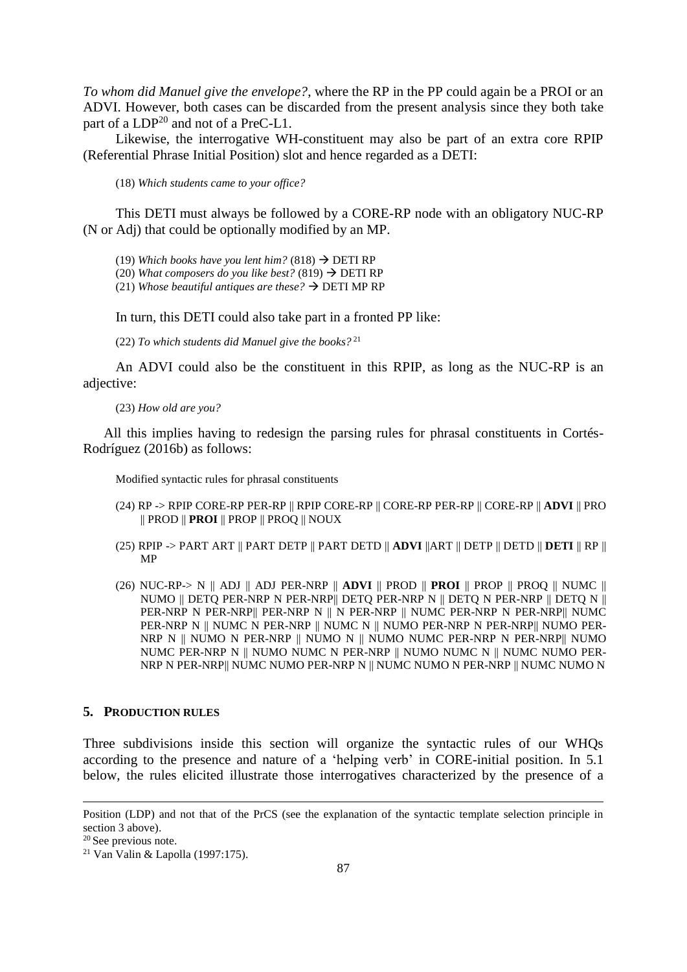*To whom did Manuel give the envelope?*, where the RP in the PP could again be a PROI or an ADVI. However, both cases can be discarded from the present analysis since they both take part of a LDP<sup>20</sup> and not of a PreC-L1.

Likewise, the interrogative WH-constituent may also be part of an extra core RPIP (Referential Phrase Initial Position) slot and hence regarded as a DETI:

(18) *Which students came to your office?*

This DETI must always be followed by a CORE-RP node with an obligatory NUC-RP (N or Adj) that could be optionally modified by an MP.

(19) Which books have you lent him?  $(818) \rightarrow$  DETI RP

(20) *What composers do you like best?* (819)  $\rightarrow$  DETI RP

(21) *Whose beautiful antiques are these?*  $\rightarrow$  DETI MP RP

In turn, this DETI could also take part in a fronted PP like:

(22) *To which students did Manuel give the books?* <sup>21</sup>

An ADVI could also be the constituent in this RPIP, as long as the NUC-RP is an adjective:

(23) *How old are you?*

All this implies having to redesign the parsing rules for phrasal constituents in Cortés-Rodríguez (2016b) as follows:

Modified syntactic rules for phrasal constituents

- (24) RP -> RPIP CORE-RP PER-RP || RPIP CORE-RP || CORE-RP PER-RP || CORE-RP || **ADVI** || PRO || PROD || **PROI** || PROP || PROQ || NOUX
- (25) RPIP -> PART ART || PART DETP || PART DETD || **ADVI** ||ART || DETP || DETD || **DETI** || RP || MP
- (26) NUC-RP-> N || ADJ || ADJ PER-NRP || **ADVI** || PROD || **PROI** || PROP || PROQ || NUMC || NUMO || DETQ PER-NRP N PER-NRP|| DETQ PER-NRP N || DETQ N PER-NRP || DETQ N || PER-NRP N PER-NRP|| PER-NRP N || N PER-NRP || NUMC PER-NRP N PER-NRP|| NUMC PER-NRP N || NUMC N PER-NRP || NUMC N || NUMO PER-NRP N PER-NRP|| NUMO PER-NRP N || NUMO N PER-NRP || NUMO N || NUMO NUMC PER-NRP N PER-NRP|| NUMO NUMC PER-NRP N || NUMO NUMC N PER-NRP || NUMO NUMC N || NUMC NUMO PER-NRP N PER-NRP|| NUMC NUMO PER-NRP N || NUMC NUMO N PER-NRP || NUMC NUMO N

### **5. PRODUCTION RULES**

Three subdivisions inside this section will organize the syntactic rules of our WHQs according to the presence and nature of a 'helping verb' in CORE-initial position. In 5.1 below, the rules elicited illustrate those interrogatives characterized by the presence of a

Position (LDP) and not that of the PrCS (see the explanation of the syntactic template selection principle in section 3 above).

<sup>20</sup> See previous note.

<sup>21</sup> Van Valin & Lapolla (1997:175).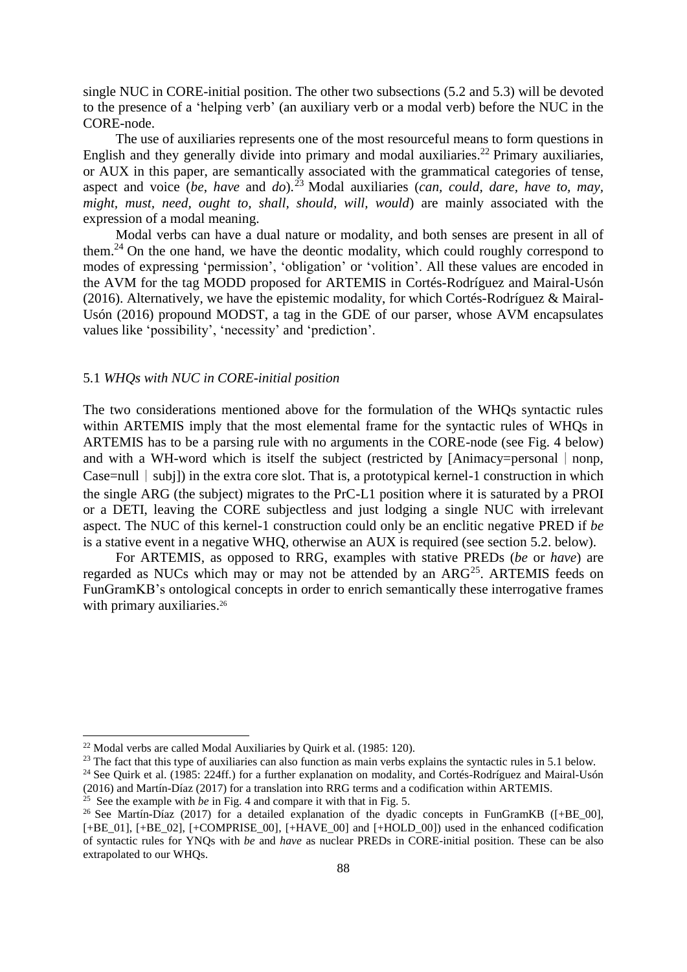single NUC in CORE-initial position. The other two subsections (5.2 and 5.3) will be devoted to the presence of a 'helping verb' (an auxiliary verb or a modal verb) before the NUC in the CORE-node.

The use of auxiliaries represents one of the most resourceful means to form questions in English and they generally divide into primary and modal auxiliaries. <sup>22</sup> Primary auxiliaries, or AUX in this paper, are semantically associated with the grammatical categories of tense, aspect and voice (*be*, *have* and *do*). <sup>23</sup> Modal auxiliaries (*can, could, dare, have to, may, might, must, need, ought to, shall, should, will, would*) are mainly associated with the expression of a modal meaning.

Modal verbs can have a dual nature or modality, and both senses are present in all of them.<sup>24</sup> On the one hand, we have the deontic modality, which could roughly correspond to modes of expressing 'permission', 'obligation' or 'volition'. All these values are encoded in the AVM for the tag MODD proposed for ARTEMIS in Cortés-Rodríguez and Mairal-Usón (2016). Alternatively, we have the epistemic modality, for which Cortés-Rodríguez & Mairal-Usón (2016) propound MODST, a tag in the GDE of our parser, whose AVM encapsulates values like 'possibility', 'necessity' and 'prediction'.

## 5.1 *WHQs with NUC in CORE-initial position*

The two considerations mentioned above for the formulation of the WHQs syntactic rules within ARTEMIS imply that the most elemental frame for the syntactic rules of WHQs in ARTEMIS has to be a parsing rule with no arguments in the CORE-node (see Fig. 4 below) and with a WH-word which is itself the subject (restricted by [Animacy=personal  $|$  nonp, Case=null  $|$  subj) in the extra core slot. That is, a prototypical kernel-1 construction in which the single ARG (the subject) migrates to the PrC-L1 position where it is saturated by a PROI or a DETI, leaving the CORE subjectless and just lodging a single NUC with irrelevant aspect. The NUC of this kernel-1 construction could only be an enclitic negative PRED if *be* is a stative event in a negative WHQ, otherwise an AUX is required (see section 5.2. below).

For ARTEMIS, as opposed to RRG, examples with stative PREDs (*be* or *have*) are regarded as NUCs which may or may not be attended by an ARG<sup>25</sup>. ARTEMIS feeds on FunGramKB's ontological concepts in order to enrich semantically these interrogative frames with primary auxiliaries.<sup>26</sup>

<sup>22</sup> Modal verbs are called Modal Auxiliaries by Quirk et al. (1985: 120).

<sup>&</sup>lt;sup>23</sup> The fact that this type of auxiliaries can also function as main verbs explains the syntactic rules in 5.1 below.

<sup>&</sup>lt;sup>24</sup> See Quirk et al. (1985: 224ff.) for a further explanation on modality, and Cortés-Rodríguez and Mairal-Usón (2016) and Martín-Díaz (2017) for a translation into RRG terms and a codification within ARTEMIS.

<sup>&</sup>lt;sup>25</sup> See the example with *be* in Fig. 4 and compare it with that in Fig. 5.

<sup>&</sup>lt;sup>26</sup> See Martín-Díaz (2017) for a detailed explanation of the dyadic concepts in FunGramKB ( $[+BE_0$ 00], [+BE\_01], [+BE\_02], [+COMPRISE\_00], [+HAVE\_00] and [+HOLD\_00]) used in the enhanced codification of syntactic rules for YNQs with *be* and *have* as nuclear PREDs in CORE-initial position. These can be also extrapolated to our WHQs.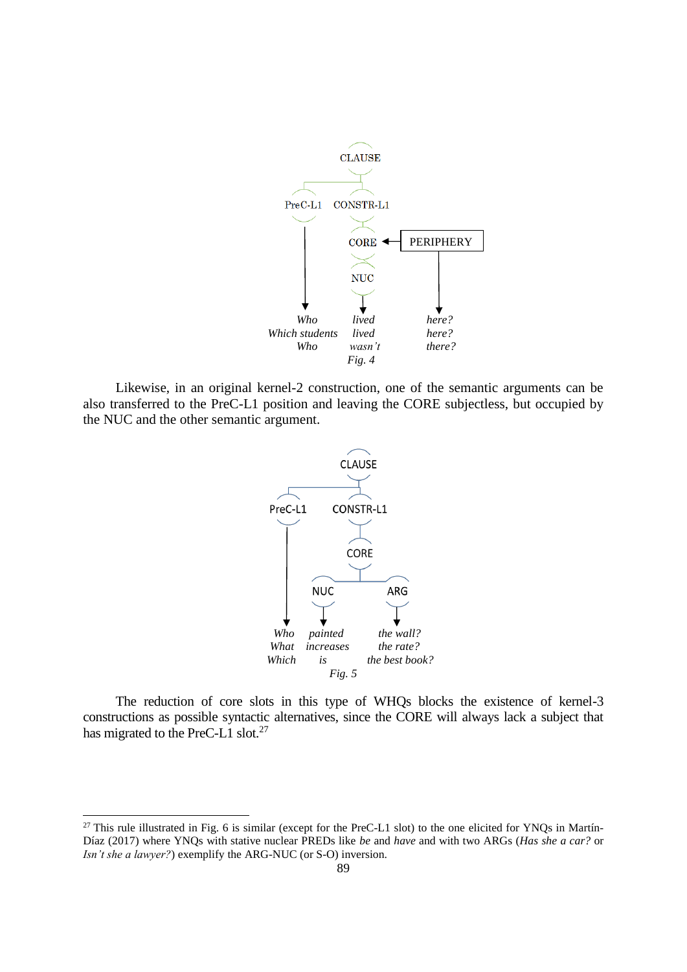

Likewise, in an original kernel-2 construction, one of the semantic arguments can be also transferred to the PreC-L1 position and leaving the CORE subjectless, but occupied by the NUC and the other semantic argument.



The reduction of core slots in this type of WHQs blocks the existence of kernel-3 constructions as possible syntactic alternatives, since the CORE will always lack a subject that has migrated to the PreC-L1 slot.<sup>27</sup>

-

 $27$  This rule illustrated in Fig. 6 is similar (except for the PreC-L1 slot) to the one elicited for YNQs in Martín-Díaz (2017) where YNQs with stative nuclear PREDs like *be* and *have* and with two ARGs (*Has she a car?* or *Isn't she a lawyer?*) exemplify the ARG-NUC (or S-O) inversion.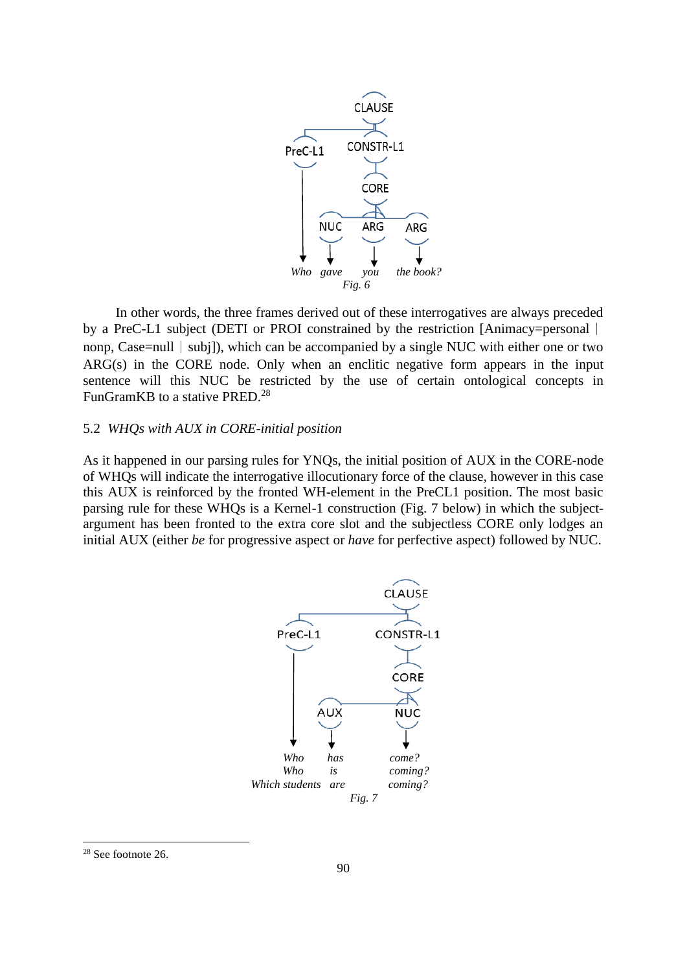

In other words, the three frames derived out of these interrogatives are always preceded by a PreC-L1 subject (DETI or PROI constrained by the restriction [Animacy=personal  $\vert$ ] nonp, Case=null | subj]), which can be accompanied by a single NUC with either one or two ARG(s) in the CORE node. Only when an enclitic negative form appears in the input sentence will this NUC be restricted by the use of certain ontological concepts in FunGramKB to a stative PRED.<sup>28</sup>

### 5.2 *WHQs with AUX in CORE-initial position*

As it happened in our parsing rules for YNQs, the initial position of AUX in the CORE-node of WHQs will indicate the interrogative illocutionary force of the clause, however in this case this AUX is reinforced by the fronted WH-element in the PreCL1 position. The most basic parsing rule for these WHQs is a Kernel-1 construction (Fig. 7 below) in which the subjectargument has been fronted to the extra core slot and the subjectless CORE only lodges an initial AUX (either *be* for progressive aspect or *have* for perfective aspect) followed by NUC.



<sup>28</sup> See footnote 26.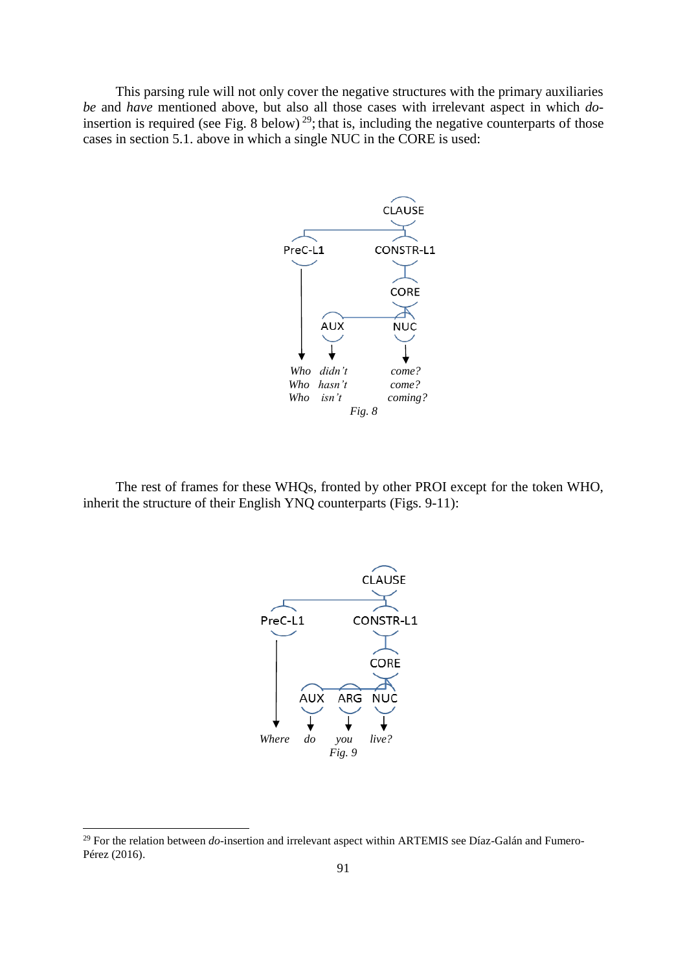This parsing rule will not only cover the negative structures with the primary auxiliaries *be* and *have* mentioned above, but also all those cases with irrelevant aspect in which *do*insertion is required (see Fig. 8 below)<sup>29</sup>; that is, including the negative counterparts of those cases in section 5.1. above in which a single NUC in the CORE is used:



The rest of frames for these WHQs, fronted by other PROI except for the token WHO, inherit the structure of their English YNQ counterparts (Figs. 9-11):



-

<sup>29</sup> For the relation between *do*-insertion and irrelevant aspect within ARTEMIS see Díaz-Galán and Fumero-Pérez (2016).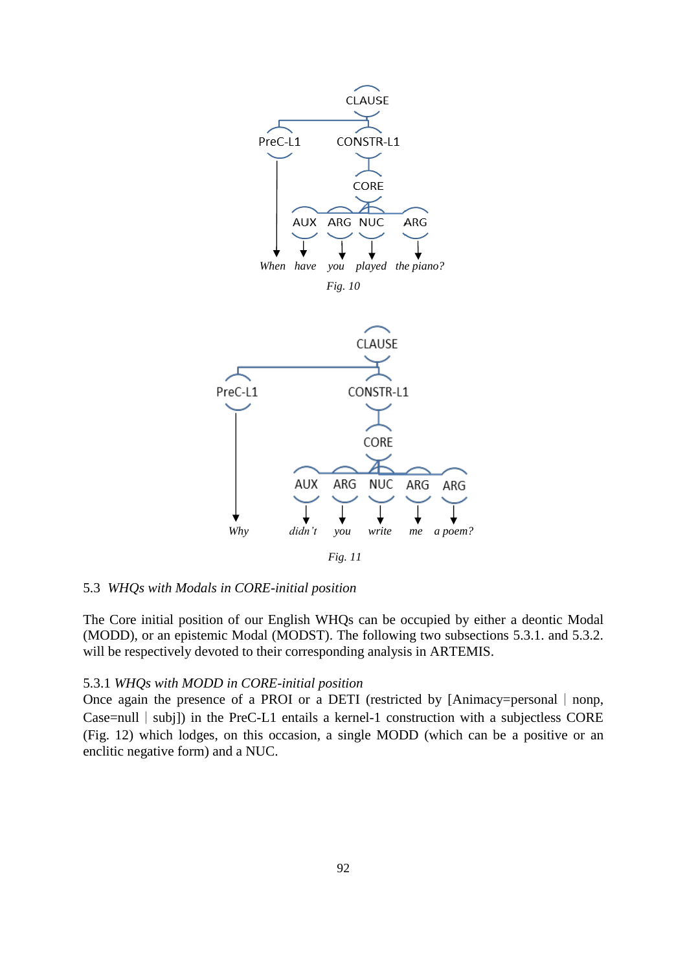

### 5.3 *WHQs with Modals in CORE-initial position*

The Core initial position of our English WHQs can be occupied by either a deontic Modal (MODD), or an epistemic Modal (MODST). The following two subsections 5.3.1. and 5.3.2. will be respectively devoted to their corresponding analysis in ARTEMIS.

### 5.3.1 *WHQs with MODD in CORE-initial position*

Once again the presence of a PROI or a DETI (restricted by [Animacy=personal  $|$  nonp, Case=null | subj]) in the PreC-L1 entails a kernel-1 construction with a subjectless CORE (Fig. 12) which lodges, on this occasion, a single MODD (which can be a positive or an enclitic negative form) and a NUC.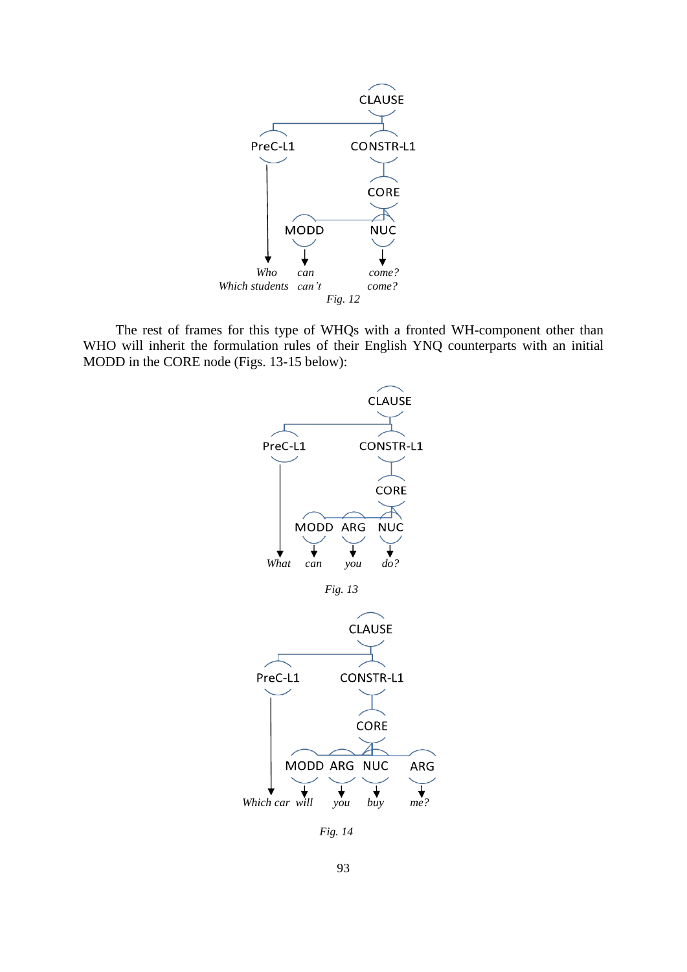

The rest of frames for this type of WHQs with a fronted WH-component other than WHO will inherit the formulation rules of their English YNQ counterparts with an initial MODD in the CORE node (Figs. 13-15 below):



 *Fig. 14*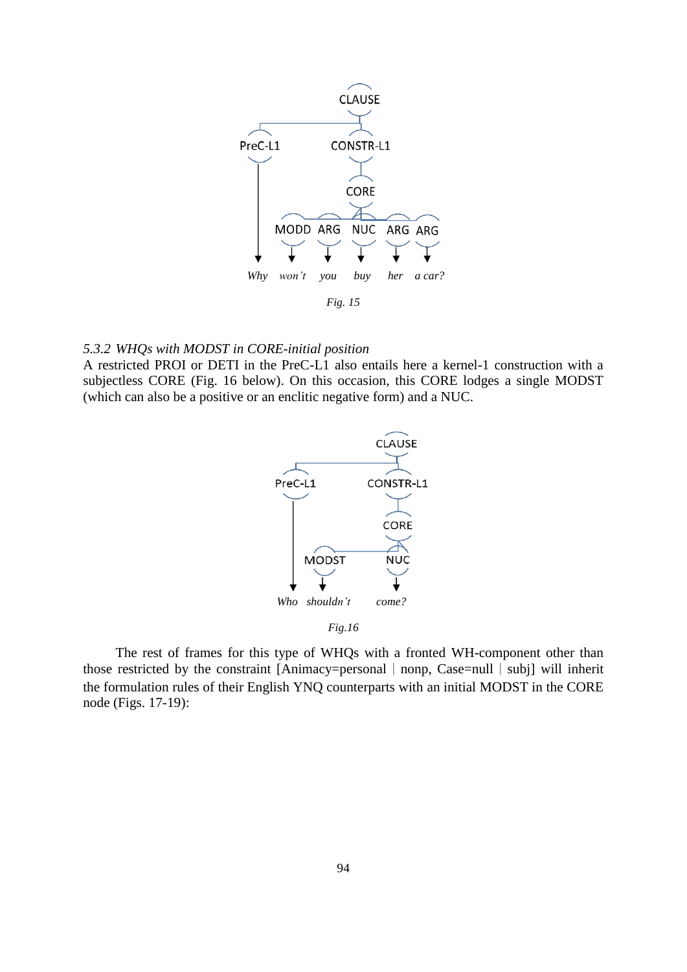

### *5.3.2 WHQs with MODST in CORE-initial position*

A restricted PROI or DETI in the PreC-L1 also entails here a kernel-1 construction with a subjectless CORE (Fig. 16 below). On this occasion, this CORE lodges a single MODST (which can also be a positive or an enclitic negative form) and a NUC.



*Fig.16*

The rest of frames for this type of WHQs with a fronted WH-component other than those restricted by the constraint [Animacy=personal  $|$  nonp, Case=null  $|$  subj] will inherit the formulation rules of their English YNQ counterparts with an initial MODST in the CORE node (Figs. 17-19):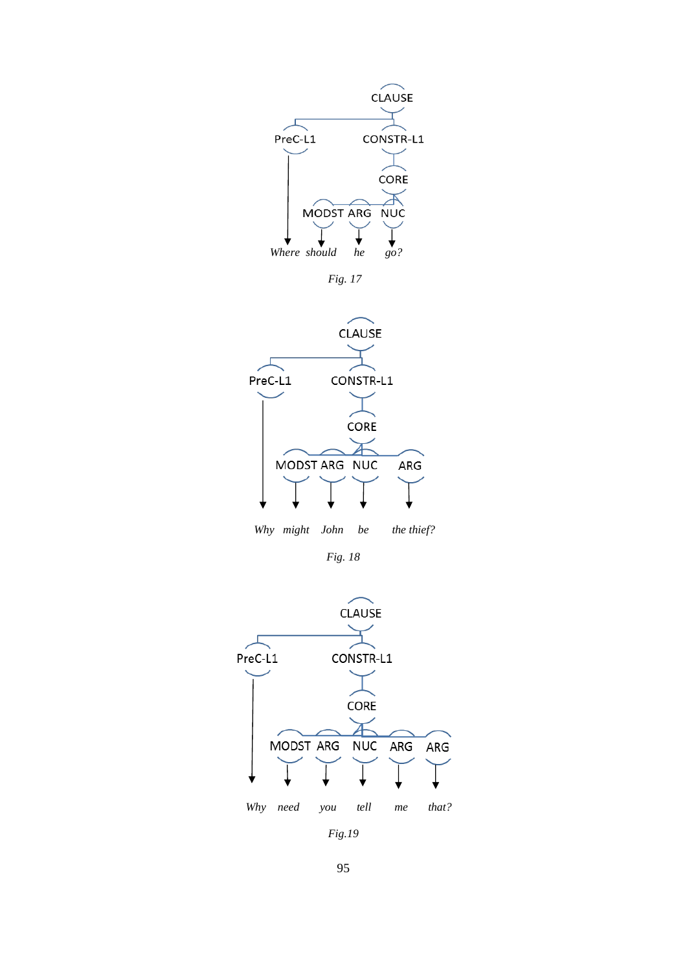

*Fig. 17*



 *Why might John be the thief?*

*Fig. 18*



*Fig.19*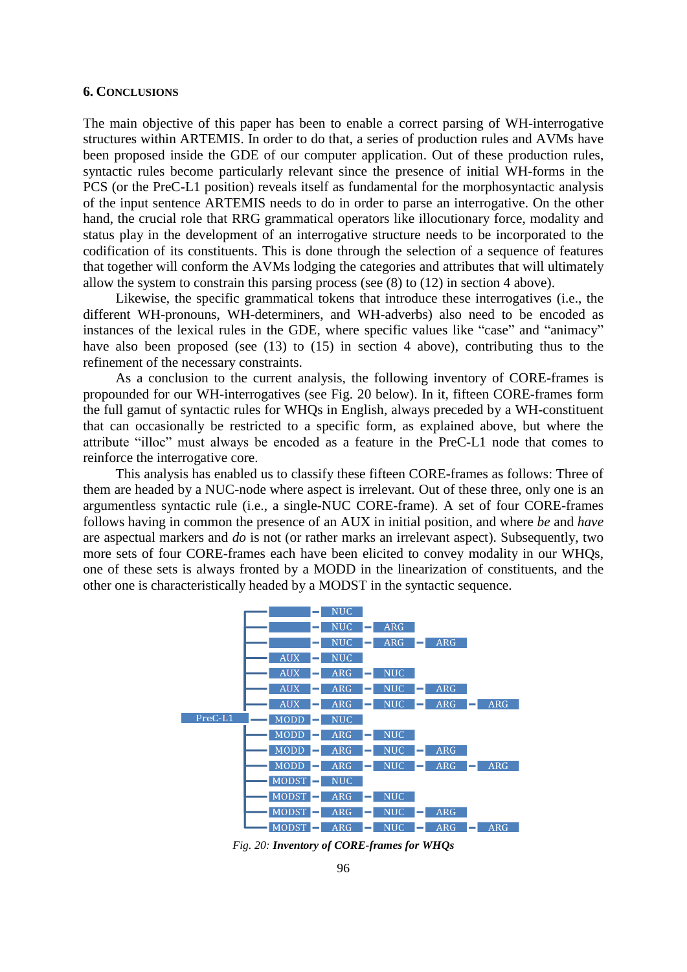#### **6. CONCLUSIONS**

The main objective of this paper has been to enable a correct parsing of WH*-*interrogative structures within ARTEMIS. In order to do that, a series of production rules and AVMs have been proposed inside the GDE of our computer application. Out of these production rules, syntactic rules become particularly relevant since the presence of initial WH-forms in the PCS (or the PreC-L1 position) reveals itself as fundamental for the morphosyntactic analysis of the input sentence ARTEMIS needs to do in order to parse an interrogative. On the other hand, the crucial role that RRG grammatical operators like illocutionary force, modality and status play in the development of an interrogative structure needs to be incorporated to the codification of its constituents. This is done through the selection of a sequence of features that together will conform the AVMs lodging the categories and attributes that will ultimately allow the system to constrain this parsing process (see (8) to (12) in section 4 above).

Likewise, the specific grammatical tokens that introduce these interrogatives (i.e., the different WH-pronouns, WH-determiners, and WH-adverbs) also need to be encoded as instances of the lexical rules in the GDE, where specific values like "case" and "animacy" have also been proposed (see (13) to (15) in section 4 above), contributing thus to the refinement of the necessary constraints.

As a conclusion to the current analysis, the following inventory of CORE-frames is propounded for our WH-interrogatives (see Fig. 20 below). In it, fifteen CORE-frames form the full gamut of syntactic rules for WHQs in English, always preceded by a WH-constituent that can occasionally be restricted to a specific form, as explained above, but where the attribute "illoc" must always be encoded as a feature in the PreC-L1 node that comes to reinforce the interrogative core.

This analysis has enabled us to classify these fifteen CORE-frames as follows: Three of them are headed by a NUC-node where aspect is irrelevant. Out of these three, only one is an argumentless syntactic rule (i.e., a single-NUC CORE-frame). A set of four CORE-frames follows having in common the presence of an AUX in initial position, and where *be* and *have* are aspectual markers and *do* is not (or rather marks an irrelevant aspect). Subsequently, two more sets of four CORE-frames each have been elicited to convey modality in our WHQs, one of these sets is always fronted by a MODD in the linearization of constituents, and the other one is characteristically headed by a MODST in the syntactic sequence.



*Fig. 20: Inventory of CORE-frames for WHQs*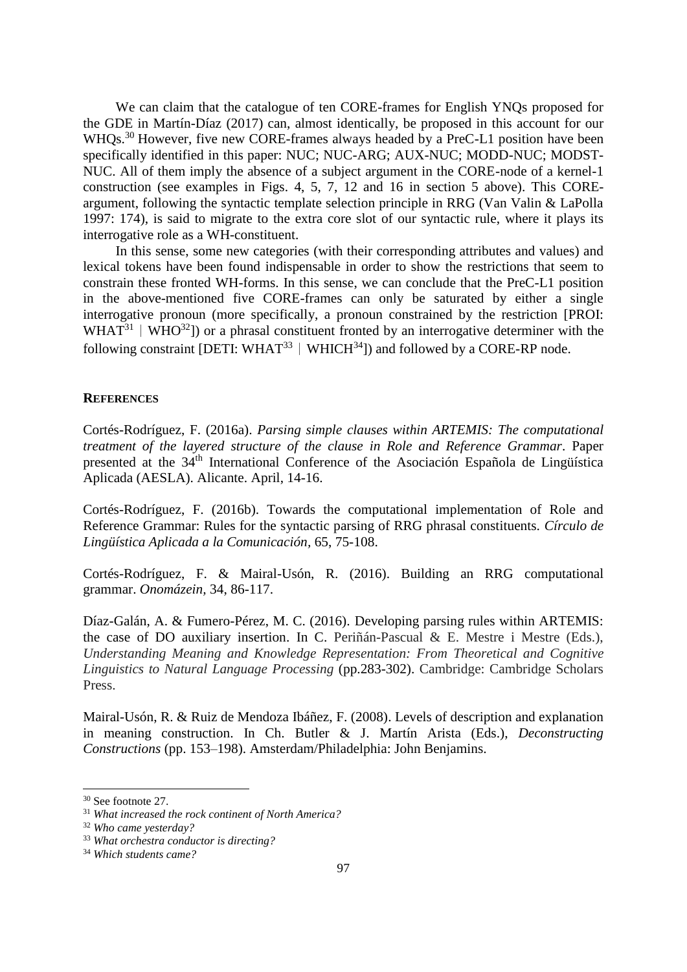We can claim that the catalogue of ten CORE-frames for English YNQs proposed for the GDE in Martín-Díaz (2017) can, almost identically, be proposed in this account for our WHQs.<sup>30</sup> However, five new CORE-frames always headed by a PreC-L1 position have been specifically identified in this paper: NUC; NUC-ARG; AUX-NUC; MODD-NUC; MODST-NUC. All of them imply the absence of a subject argument in the CORE-node of a kernel-1 construction (see examples in Figs. 4, 5, 7, 12 and 16 in section 5 above). This COREargument, following the syntactic template selection principle in RRG (Van Valin & LaPolla 1997: 174), is said to migrate to the extra core slot of our syntactic rule, where it plays its interrogative role as a WH-constituent.

In this sense, some new categories (with their corresponding attributes and values) and lexical tokens have been found indispensable in order to show the restrictions that seem to constrain these fronted WH-forms. In this sense, we can conclude that the PreC-L1 position in the above-mentioned five CORE-frames can only be saturated by either a single interrogative pronoun (more specifically, a pronoun constrained by the restriction [PROI: WHAT<sup>31</sup> | WHO<sup>32</sup>]) or a phrasal constituent fronted by an interrogative determiner with the following constraint [DETI: WHAT<sup>33</sup> | WHICH<sup>34</sup>]) and followed by a CORE-RP node.

#### **REFERENCES**

Cortés-Rodríguez, F. (2016a). *Parsing simple clauses within ARTEMIS: The computational treatment of the layered structure of the clause in Role and Reference Grammar*. Paper presented at the 34th International Conference of the Asociación Española de Lingüística Aplicada (AESLA). Alicante. April, 14-16.

Cortés-Rodríguez, F. (2016b). Towards the computational implementation of Role and Reference Grammar: Rules for the syntactic parsing of RRG phrasal constituents. *Círculo de Lingüística Aplicada a la Comunicación,* 65, 75-108.

Cortés-Rodríguez, F. & Mairal-Usón, R. (2016). Building an RRG computational grammar. *Onomázein,* 34, 86-117.

Díaz-Galán, A. & Fumero-Pérez, M. C. (2016). Developing parsing rules within ARTEMIS: the case of DO auxiliary insertion. In C. Periñán-Pascual & E. Mestre i Mestre (Eds.), *Understanding Meaning and Knowledge Representation: From Theoretical and Cognitive Linguistics to Natural Language Processing* (pp.283-302). Cambridge: Cambridge Scholars Press.

Mairal-Usón, R. & Ruiz de Mendoza Ibáñez, F. (2008). Levels of description and explanation in meaning construction. In Ch. Butler & J. Martín Arista (Eds.), *Deconstructing Constructions* (pp. 153–198). Amsterdam/Philadelphia: John Benjamins.

<sup>30</sup> See footnote 27.

<sup>31</sup> *What increased the rock continent of North America?*

<sup>32</sup> *Who came yesterday?*

<sup>33</sup> *What orchestra conductor is directing?*

<sup>34</sup> *Which students came?*